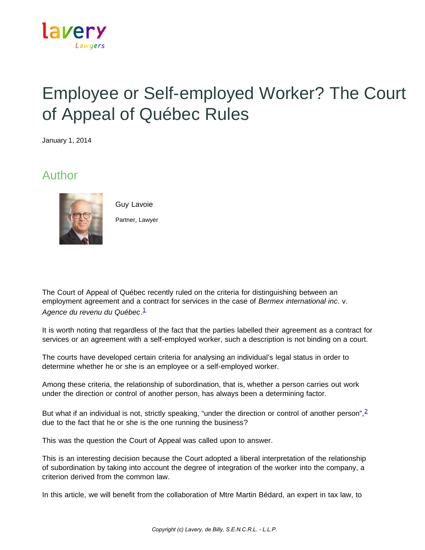

# Employee or Self-employed Worker? The Court of Appeal of Québec Rules

January 1, 2014

# Author



Guy Lavoie Partner, Lawyer

The Court of Appeal of Québec recently ruled on the criteria for distinguishing between an employment agreement and a contract for services in the case of *Bermex international inc*. v. *Agence du revenu du Québec*. [1](https://www.lavery.ca/en/publications/our-publications/1734-employee-or-self-employed-worker-the-court-of-appeal-of-quebec-rules.html#01)

It is worth noting that regardless of the fact that the parties labelled their agreement as a contract for services or an agreement with a self-employed worker, such a description is not binding on a court.

The courts have developed certain criteria for analysing an individual's legal status in order to determine whether he or she is an employee or a self-employed worker.

Among these criteria, the relationship of subordination, that is, whether a person carries out work under the direction or control of another person, has always been a determining factor.

But what if an individual is not, strictly speaking, "under the direction or control of another person",  $\frac{2}{3}$  $\frac{2}{3}$  $\frac{2}{3}$ due to the fact that he or she is the one running the business?

This was the question the Court of Appeal was called upon to answer.

This is an interesting decision because the Court adopted a liberal interpretation of the relationship of subordination by taking into account the degree of integration of the worker into the company, a criterion derived from the common law.

In this article, we will benefit from the collaboration of Mtre Martin Bédard, an expert in tax law, to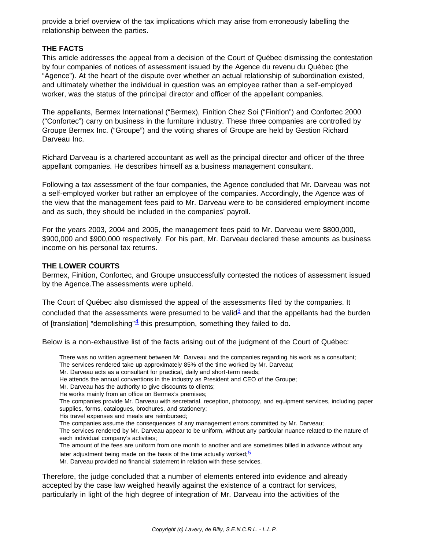provide a brief overview of the tax implications which may arise from erroneously labelling the relationship between the parties.

#### **THE FACTS**

This article addresses the appeal from a decision of the Court of Québec dismissing the contestation by four companies of notices of assessment issued by the Agence du revenu du Québec (the "Agence"). At the heart of the dispute over whether an actual relationship of subordination existed, and ultimately whether the individual in question was an employee rather than a self-employed worker, was the status of the principal director and officer of the appellant companies.

The appellants, Bermex International ("Bermex), Finition Chez Soi ("Finition") and Confortec 2000 ("Confortec") carry on business in the furniture industry. These three companies are controlled by Groupe Bermex Inc. ("Groupe") and the voting shares of Groupe are held by Gestion Richard Darveau Inc.

Richard Darveau is a chartered accountant as well as the principal director and officer of the three appellant companies. He describes himself as a business management consultant.

Following a tax assessment of the four companies, the Agence concluded that Mr. Darveau was not a self-employed worker but rather an employee of the companies. Accordingly, the Agence was of the view that the management fees paid to Mr. Darveau were to be considered employment income and as such, they should be included in the companies' payroll.

For the years 2003, 2004 and 2005, the management fees paid to Mr. Darveau were \$800,000, \$900,000 and \$900,000 respectively. For his part, Mr. Darveau declared these amounts as business income on his personal tax returns.

#### **THE LOWER COURTS**

Bermex, Finition, Confortec, and Groupe unsuccessfully contested the notices of assessment issued by the Agence.The assessments were upheld.

The Court of Québec also dismissed the appeal of the assessments filed by the companies. It concluded that the assessments were presumed to be valid $3$  and that the appellants had the burden of [translation] "demolishing" $4$  this presumption, something they failed to do.

Below is a non-exhaustive list of the facts arising out of the judgment of the Court of Québec:

There was no written agreement between Mr. Darveau and the companies regarding his work as a consultant; The services rendered take up approximately 85% of the time worked by Mr. Darveau;

- Mr. Darveau acts as a consultant for practical, daily and short-term needs;
- He attends the annual conventions in the industry as President and CEO of the Groupe;
- Mr. Darveau has the authority to give discounts to clients;
- He works mainly from an office on Bermex's premises;
- The companies provide Mr. Darveau with secretarial, reception, photocopy, and equipment services, including paper supplies, forms, catalogues, brochures, and stationery;
- His travel expenses and meals are reimbursed;
- The companies assume the consequences of any management errors committed by Mr. Darveau;
- The services rendered by Mr. Darveau appear to be uniform, without any particular nuance related to the nature of each individual company's activities;
- The amount of the fees are uniform from one month to another and are sometimes billed in advance without any
- later adjustment being made on the basis of the time actually worked;  $5$
- Mr. Darveau provided no financial statement in relation with these services.

Therefore, the judge concluded that a number of elements entered into evidence and already accepted by the case law weighed heavily against the existence of a contract for services, particularly in light of the high degree of integration of Mr. Darveau into the activities of the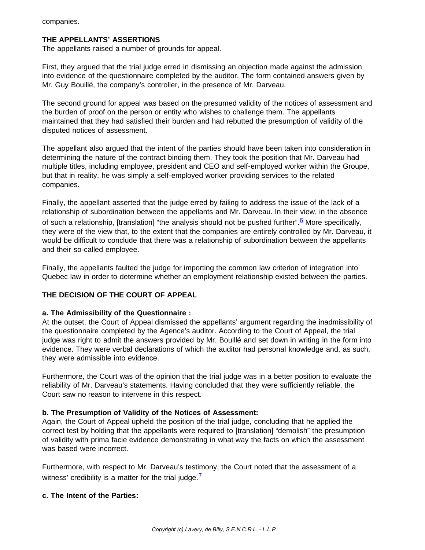companies.

# **THE APPELLANTS' ASSERTIONS**

The appellants raised a number of grounds for appeal.

First, they argued that the trial judge erred in dismissing an objection made against the admission into evidence of the questionnaire completed by the auditor. The form contained answers given by Mr. Guy Bouillé, the company's controller, in the presence of Mr. Darveau.

The second ground for appeal was based on the presumed validity of the notices of assessment and the burden of proof on the person or entity who wishes to challenge them. The appellants maintained that they had satisfied their burden and had rebutted the presumption of validity of the disputed notices of assessment.

The appellant also argued that the intent of the parties should have been taken into consideration in determining the nature of the contract binding them. They took the position that Mr. Darveau had multiple titles, including employee, president and CEO and self-employed worker within the Groupe, but that in reality, he was simply a self-employed worker providing services to the related companies.

Finally, the appellant asserted that the judge erred by failing to address the issue of the lack of a relationship of subordination between the appellants and Mr. Darveau. In their view, in the absence of such a relationship, [translation] "the analysis should not be pushed further".  $6$  More specifically, they were of the view that, to the extent that the companies are entirely controlled by Mr. Darveau, it would be difficult to conclude that there was a relationship of subordination between the appellants and their so-called employee.

Finally, the appellants faulted the judge for importing the common law criterion of integration into Quebec law in order to determine whether an employment relationship existed between the parties.

# **THE DECISION OF THE COURT OF APPEAL**

#### **a. The Admissibility of the Questionnaire :**

At the outset, the Court of Appeal dismissed the appellants' argument regarding the inadmissibility of the questionnaire completed by the Agence's auditor. According to the Court of Appeal, the trial judge was right to admit the answers provided by Mr. Bouillé and set down in writing in the form into evidence. They were verbal declarations of which the auditor had personal knowledge and, as such, they were admissible into evidence.

Furthermore, the Court was of the opinion that the trial judge was in a better position to evaluate the reliability of Mr. Darveau's statements. Having concluded that they were sufficiently reliable, the Court saw no reason to intervene in this respect.

#### **b. The Presumption of Validity of the Notices of Assessment:**

Again, the Court of Appeal upheld the position of the trial judge, concluding that he applied the correct test by holding that the appellants were required to [translation] "demolish" the presumption of validity with prima facie evidence demonstrating in what way the facts on which the assessment was based were incorrect.

Furthermore, with respect to Mr. Darveau's testimony, the Court noted that the assessment of a witness' credibility is a matter for the trial judge.<sup> $7$ </sup>

#### **c. The Intent of the Parties:**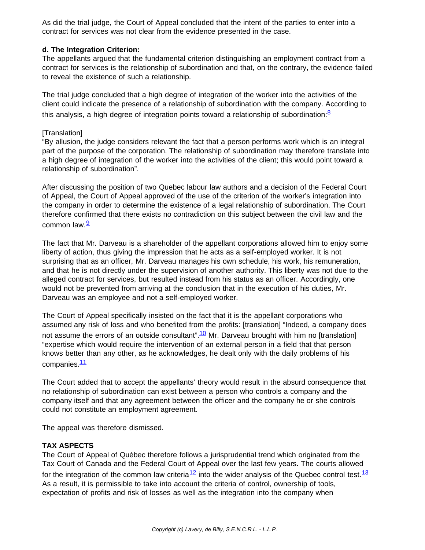As did the trial judge, the Court of Appeal concluded that the intent of the parties to enter into a contract for services was not clear from the evidence presented in the case.

# **d. The Integration Criterion:**

The appellants argued that the fundamental criterion distinguishing an employment contract from a contract for services is the relationship of subordination and that, on the contrary, the evidence failed to reveal the existence of such a relationship.

The trial judge concluded that a high degree of integration of the worker into the activities of the client could indicate the presence of a relationship of subordination with the company. According to this analysis, a high degree of integration points toward a relationship of subordination:<sup>[8](https://www.lavery.ca/en/publications/our-publications/1734-employee-or-self-employed-worker-the-court-of-appeal-of-quebec-rules.html#08)</sup>

# [Translation]

"By allusion, the judge considers relevant the fact that a person performs work which is an integral part of the purpose of the corporation. The relationship of subordination may therefore translate into a high degree of integration of the worker into the activities of the client; this would point toward a relationship of subordination".

After discussing the position of two Quebec labour law authors and a decision of the Federal Court of Appeal, the Court of Appeal approved of the use of the criterion of the worker's integration into the company in order to determine the existence of a legal relationship of subordination. The Court therefore confirmed that there exists no contradiction on this subject between the civil law and the common law.<sup>[9](https://www.lavery.ca/en/publications/our-publications/1734-employee-or-self-employed-worker-the-court-of-appeal-of-quebec-rules.html#09)</sup>

The fact that Mr. Darveau is a shareholder of the appellant corporations allowed him to enjoy some liberty of action, thus giving the impression that he acts as a self-employed worker. It is not surprising that as an officer, Mr. Darveau manages his own schedule, his work, his remuneration, and that he is not directly under the supervision of another authority. This liberty was not due to the alleged contract for services, but resulted instead from his status as an officer. Accordingly, one would not be prevented from arriving at the conclusion that in the execution of his duties, Mr. Darveau was an employee and not a self-employed worker.

The Court of Appeal specifically insisted on the fact that it is the appellant corporations who assumed any risk of loss and who benefited from the profits: [translation] "Indeed, a company does not assume the errors of an outside consultant".<sup>[10](https://www.lavery.ca/en/publications/our-publications/1734-employee-or-self-employed-worker-the-court-of-appeal-of-quebec-rules.html#10)</sup> Mr. Darveau brought with him no [translation] "expertise which would require the intervention of an external person in a field that that person knows better than any other, as he acknowledges, he dealt only with the daily problems of his companies.<sup>[11](https://www.lavery.ca/en/publications/our-publications/1734-employee-or-self-employed-worker-the-court-of-appeal-of-quebec-rules.html#11)</sup>

The Court added that to accept the appellants' theory would result in the absurd consequence that no relationship of subordination can exist between a person who controls a company and the company itself and that any agreement between the officer and the company he or she controls could not constitute an employment agreement.

The appeal was therefore dismissed.

# **TAX ASPECTS**

The Court of Appeal of Québec therefore follows a jurisprudential trend which originated from the Tax Court of Canada and the Federal Court of Appeal over the last few years. The courts allowed for the integration of the common law criteria $^{12}$  $^{12}$  $^{12}$  into the wider analysis of the Quebec control test.  $^{13}$  $^{13}$  $^{13}$ As a result, it is permissible to take into account the criteria of control, ownership of tools, expectation of profits and risk of losses as well as the integration into the company when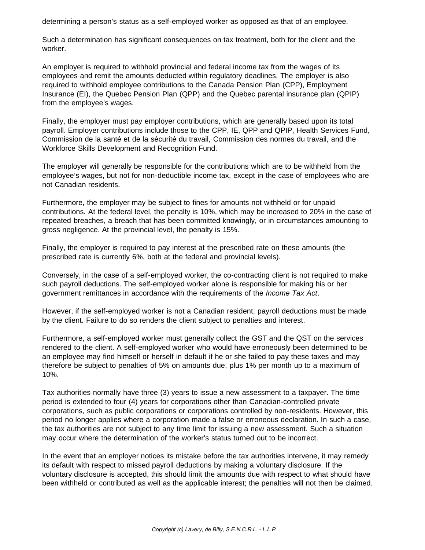determining a person's status as a self-employed worker as opposed as that of an employee.

Such a determination has significant consequences on tax treatment, both for the client and the worker.

An employer is required to withhold provincial and federal income tax from the wages of its employees and remit the amounts deducted within regulatory deadlines. The employer is also required to withhold employee contributions to the Canada Pension Plan (CPP), Employment Insurance (EI), the Quebec Pension Plan (QPP) and the Quebec parental insurance plan (QPIP) from the employee's wages.

Finally, the employer must pay employer contributions, which are generally based upon its total payroll. Employer contributions include those to the CPP, IE, QPP and QPIP, Health Services Fund, Commission de la santé et de la sécurité du travail, Commission des normes du travail, and the Workforce Skills Development and Recognition Fund.

The employer will generally be responsible for the contributions which are to be withheld from the employee's wages, but not for non-deductible income tax, except in the case of employees who are not Canadian residents.

Furthermore, the employer may be subject to fines for amounts not withheld or for unpaid contributions. At the federal level, the penalty is 10%, which may be increased to 20% in the case of repeated breaches, a breach that has been committed knowingly, or in circumstances amounting to gross negligence. At the provincial level, the penalty is 15%.

Finally, the employer is required to pay interest at the prescribed rate on these amounts (the prescribed rate is currently 6%, both at the federal and provincial levels).

Conversely, in the case of a self-employed worker, the co-contracting client is not required to make such payroll deductions. The self-employed worker alone is responsible for making his or her government remittances in accordance with the requirements of the *Income Tax Act*.

However, if the self-employed worker is not a Canadian resident, payroll deductions must be made by the client. Failure to do so renders the client subject to penalties and interest.

Furthermore, a self-employed worker must generally collect the GST and the QST on the services rendered to the client. A self-employed worker who would have erroneously been determined to be an employee may find himself or herself in default if he or she failed to pay these taxes and may therefore be subject to penalties of 5% on amounts due, plus 1% per month up to a maximum of 10%.

Tax authorities normally have three (3) years to issue a new assessment to a taxpayer. The time period is extended to four (4) years for corporations other than Canadian-controlled private corporations, such as public corporations or corporations controlled by non-residents. However, this period no longer applies where a corporation made a false or erroneous declaration. In such a case, the tax authorities are not subject to any time limit for issuing a new assessment. Such a situation may occur where the determination of the worker's status turned out to be incorrect.

In the event that an employer notices its mistake before the tax authorities intervene, it may remedy its default with respect to missed payroll deductions by making a voluntary disclosure. If the voluntary disclosure is accepted, this should limit the amounts due with respect to what should have been withheld or contributed as well as the applicable interest; the penalties will not then be claimed.